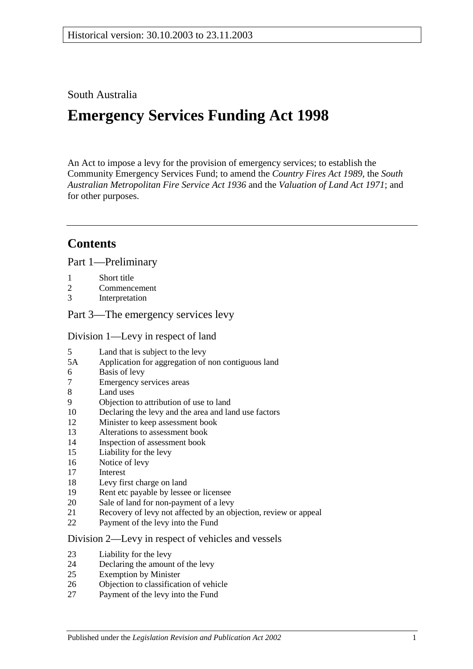## South Australia

# **Emergency Services Funding Act 1998**

An Act to impose a levy for the provision of emergency services; to establish the Community Emergency Services Fund; to amend the *[Country Fires Act](http://www.legislation.sa.gov.au/index.aspx?action=legref&type=act&legtitle=Country%20Fires%20Act%201989) 1989*, the *[South](http://www.legislation.sa.gov.au/index.aspx?action=legref&type=act&legtitle=South%20Australian%20Metropolitan%20Fire%20Service%20Act%201936)  [Australian Metropolitan Fire Service Act](http://www.legislation.sa.gov.au/index.aspx?action=legref&type=act&legtitle=South%20Australian%20Metropolitan%20Fire%20Service%20Act%201936) 1936* and the *[Valuation of Land Act](http://www.legislation.sa.gov.au/index.aspx?action=legref&type=act&legtitle=Valuation%20of%20Land%20Act%201971) 1971*; and for other purposes.

# **Contents**

[Part 1—Preliminary](#page-1-0)

- 1 [Short title](#page-1-1)
- 2 [Commencement](#page-1-2)<br>3 Interpretation
- **[Interpretation](#page-1-3)**

[Part 3—The emergency services levy](#page-3-0)

#### [Division 1—Levy in respect of land](#page-3-1)

- 5 [Land that is subject to the levy](#page-3-2)<br>5A Application for aggregation of
- [Application for aggregation of non contiguous land](#page-5-0)
- 6 [Basis of levy](#page-5-1)<br>7 Emergency se
- 7 [Emergency services areas](#page-6-0)<br>8 Land uses
- [Land uses](#page-6-1)
- 9 [Objection to attribution of use to land](#page-7-0)
- 10 [Declaring the levy and the area and land use factors](#page-7-1)
- 12 [Minister to keep assessment book](#page-9-0)
- 13 [Alterations to assessment book](#page-10-0)
- 14 [Inspection of assessment book](#page-10-1)
- 15 [Liability for the levy](#page-10-2)
- 16 [Notice of levy](#page-11-0)
- 17 [Interest](#page-11-1)
- 18 [Levy first charge on land](#page-11-2)
- 19 [Rent etc payable by lessee or licensee](#page-12-0)
- 20 [Sale of land for non-payment of a levy](#page-12-1)
- 21 [Recovery of levy not affected by an objection, review or appeal](#page-14-0)
- 22 [Payment of the levy into the Fund](#page-14-1)

#### [Division 2—Levy in respect of vehicles and vessels](#page-14-2)

- 23 [Liability for the levy](#page-14-3)
- 24 [Declaring the amount of the levy](#page-14-4)
- 25 [Exemption by Minister](#page-15-0)
- 26 [Objection to classification of vehicle](#page-16-0)
- 27 [Payment of the levy into the Fund](#page-16-1)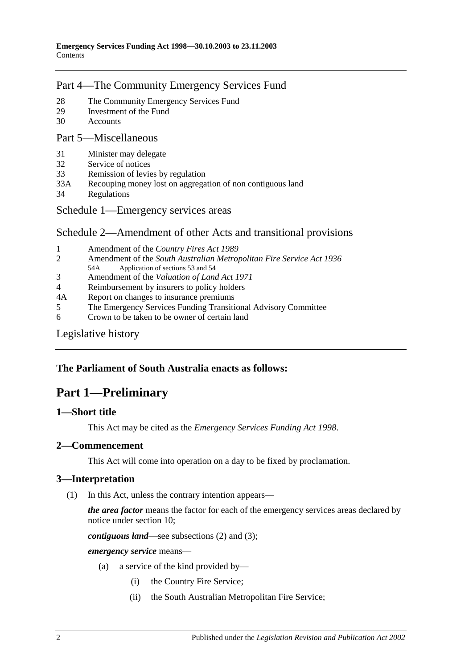## [Part 4—The Community Emergency Services Fund](#page-16-2)

- 28 [The Community Emergency Services Fund](#page-16-3)<br>29 Investment of the Fund
- 29 [Investment of the Fund](#page-17-0)<br>30 Accounts
- **[Accounts](#page-17-1)**

#### [Part 5—Miscellaneous](#page-17-2)

- 31 [Minister may delegate](#page-17-3)<br>32 Service of notices
- [Service of notices](#page-18-0)
- 33 [Remission of levies by regulation](#page-18-1)
- 33A [Recouping money lost on aggregation of non contiguous land](#page-19-0)
- 34 [Regulations](#page-19-1)
- [Schedule 1—Emergency services areas](#page-19-2)

## [Schedule 2—Amendment of other Acts and transitional provisions](#page-20-0)

- 1 [Amendment of the](#page-20-1) *Country Fires Act* 1989<br>2 Amendment of the *South Australian Metrol*
- 2 Amendment of the *[South Australian Metropolitan Fire Service Act](#page-21-0) 1936* Application of sections 53 and 54
- 3 Amendment of the *[Valuation of Land Act](#page-21-1) 1971*
- 4 [Reimbursement by insurers to policy holders](#page-21-2)
- 4A [Report on changes to insurance premiums](#page-22-0)
- 5 [The Emergency Services Funding Transitional Advisory Committee](#page-22-1)<br>6 Crown to be taken to be owner of certain land
- 6 [Crown to be taken to be owner of certain land](#page-23-0)

#### [Legislative history](#page-25-0)

## <span id="page-1-0"></span>**The Parliament of South Australia enacts as follows:**

# **Part 1—Preliminary**

## <span id="page-1-1"></span>**1—Short title**

This Act may be cited as the *Emergency Services Funding Act 1998*.

## <span id="page-1-2"></span>**2—Commencement**

This Act will come into operation on a day to be fixed by proclamation.

## <span id="page-1-5"></span><span id="page-1-3"></span>**3—Interpretation**

(1) In this Act, unless the contrary intention appears—

*the area factor* means the factor for each of the emergency services areas declared by notice under [section](#page-7-1) 10;

*contiguous land*—see [subsections](#page-3-3) (2) an[d \(3\);](#page-3-4)

<span id="page-1-4"></span>*emergency service* means—

- (a) a service of the kind provided by—
	- (i) the Country Fire Service;
	- (ii) the South Australian Metropolitan Fire Service;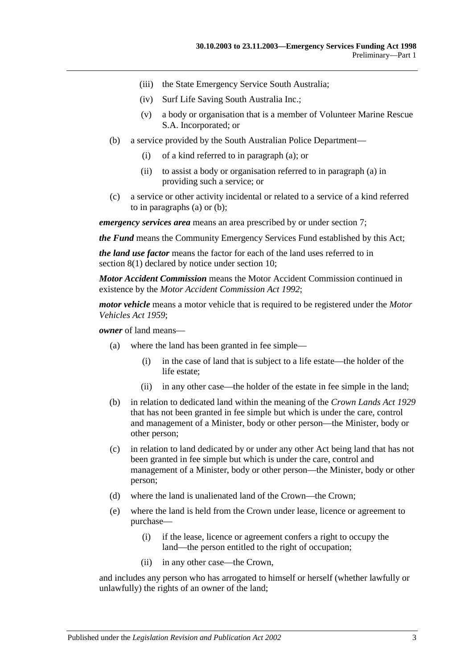- (iii) the State Emergency Service South Australia;
- (iv) Surf Life Saving South Australia Inc.;
- (v) a body or organisation that is a member of Volunteer Marine Rescue S.A. Incorporated; or
- <span id="page-2-0"></span>(b) a service provided by the South Australian Police Department—
	- (i) of a kind referred to in [paragraph](#page-1-4) (a); or
	- (ii) to assist a body or organisation referred to i[n paragraph](#page-1-4) (a) in providing such a service; or
- (c) a service or other activity incidental or related to a service of a kind referred to in [paragraphs](#page-1-4) (a) or [\(b\);](#page-2-0)

*emergency services area* means an area prescribed by or under [section](#page-6-0) 7;

*the Fund* means the Community Emergency Services Fund established by this Act;

*the land use factor* means the factor for each of the land uses referred to in [section](#page-6-2) 8(1) declared by notice under [section](#page-7-1) 10;

*Motor Accident Commission* means the Motor Accident Commission continued in existence by the *[Motor Accident Commission Act](http://www.legislation.sa.gov.au/index.aspx?action=legref&type=act&legtitle=Motor%20Accident%20Commission%20Act%201992) 1992*;

*motor vehicle* means a motor vehicle that is required to be registered under the *[Motor](http://www.legislation.sa.gov.au/index.aspx?action=legref&type=act&legtitle=Motor%20Vehicles%20Act%201959)  [Vehicles Act](http://www.legislation.sa.gov.au/index.aspx?action=legref&type=act&legtitle=Motor%20Vehicles%20Act%201959) 1959*;

*owner* of land means—

- (a) where the land has been granted in fee simple—
	- (i) in the case of land that is subject to a life estate—the holder of the life estate;
	- (ii) in any other case—the holder of the estate in fee simple in the land;
- (b) in relation to dedicated land within the meaning of the *[Crown Lands Act](http://www.legislation.sa.gov.au/index.aspx?action=legref&type=act&legtitle=Crown%20Lands%20Act%201929) 1929* that has not been granted in fee simple but which is under the care, control and management of a Minister, body or other person—the Minister, body or other person;
- (c) in relation to land dedicated by or under any other Act being land that has not been granted in fee simple but which is under the care, control and management of a Minister, body or other person—the Minister, body or other person;
- <span id="page-2-2"></span><span id="page-2-1"></span>(d) where the land is unalienated land of the Crown—the Crown;
- (e) where the land is held from the Crown under lease, licence or agreement to purchase—
	- (i) if the lease, licence or agreement confers a right to occupy the land—the person entitled to the right of occupation;
	- (ii) in any other case—the Crown,

and includes any person who has arrogated to himself or herself (whether lawfully or unlawfully) the rights of an owner of the land;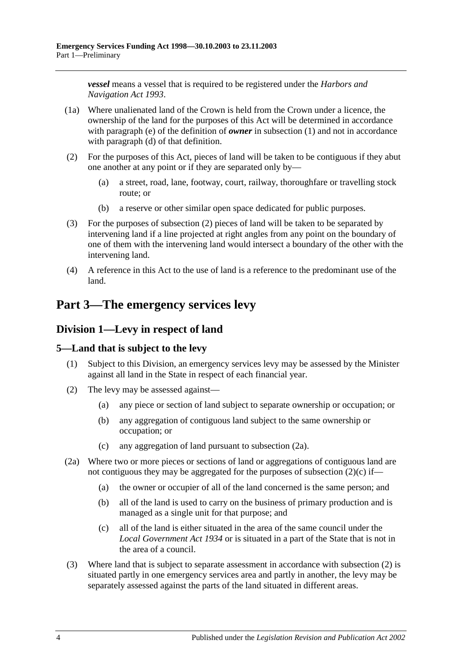*vessel* means a vessel that is required to be registered under the *[Harbors and](http://www.legislation.sa.gov.au/index.aspx?action=legref&type=act&legtitle=Harbors%20and%20Navigation%20Act%201993)  [Navigation Act](http://www.legislation.sa.gov.au/index.aspx?action=legref&type=act&legtitle=Harbors%20and%20Navigation%20Act%201993) 1993*.

- (1a) Where unalienated land of the Crown is held from the Crown under a licence, the ownership of the land for the purposes of this Act will be determined in accordance with [paragraph](#page-2-1) (e) of the definition of *owner* in [subsection](#page-1-5) (1) and not in accordance with [paragraph](#page-2-2) (d) of that definition.
- <span id="page-3-3"></span>(2) For the purposes of this Act, pieces of land will be taken to be contiguous if they abut one another at any point or if they are separated only by—
	- (a) a street, road, lane, footway, court, railway, thoroughfare or travelling stock route; or
	- (b) a reserve or other similar open space dedicated for public purposes.
- <span id="page-3-4"></span>(3) For the purposes of [subsection](#page-3-3) (2) pieces of land will be taken to be separated by intervening land if a line projected at right angles from any point on the boundary of one of them with the intervening land would intersect a boundary of the other with the intervening land.
- (4) A reference in this Act to the use of land is a reference to the predominant use of the land.

# <span id="page-3-0"></span>**Part 3—The emergency services levy**

## <span id="page-3-1"></span>**Division 1—Levy in respect of land**

## <span id="page-3-2"></span>**5—Land that is subject to the levy**

- (1) Subject to this Division, an emergency services levy may be assessed by the Minister against all land in the State in respect of each financial year.
- <span id="page-3-7"></span>(2) The levy may be assessed against—
	- (a) any piece or section of land subject to separate ownership or occupation; or
	- (b) any aggregation of contiguous land subject to the same ownership or occupation; or
	- (c) any aggregation of land pursuant to [subsection](#page-3-5) (2a).
- <span id="page-3-6"></span><span id="page-3-5"></span>(2a) Where two or more pieces or sections of land or aggregations of contiguous land are not contiguous they may be aggregated for the purposes of [subsection](#page-3-6) (2)(c) if—
	- (a) the owner or occupier of all of the land concerned is the same person; and
	- (b) all of the land is used to carry on the business of primary production and is managed as a single unit for that purpose; and
	- (c) all of the land is either situated in the area of the same council under the *[Local Government Act](http://www.legislation.sa.gov.au/index.aspx?action=legref&type=act&legtitle=Local%20Government%20Act%201934) 1934* or is situated in a part of the State that is not in the area of a council.
- (3) Where land that is subject to separate assessment in accordance with [subsection](#page-3-7) (2) is situated partly in one emergency services area and partly in another, the levy may be separately assessed against the parts of the land situated in different areas.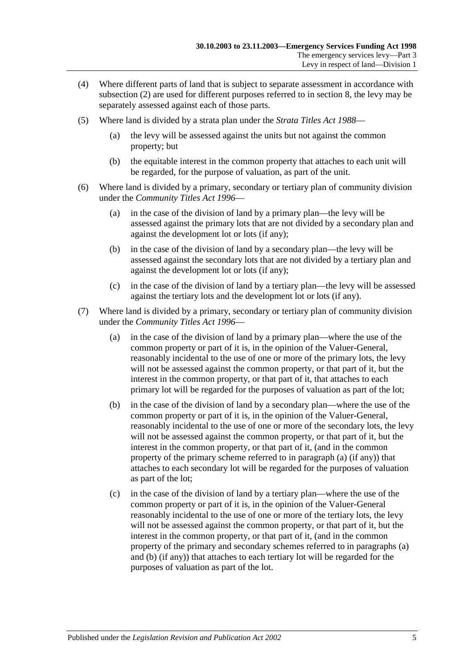- (4) Where different parts of land that is subject to separate assessment in accordance with [subsection](#page-3-7) (2) are used for different purposes referred to in [section](#page-6-1) 8, the levy may be separately assessed against each of those parts.
- (5) Where land is divided by a strata plan under the *[Strata Titles Act](http://www.legislation.sa.gov.au/index.aspx?action=legref&type=act&legtitle=Strata%20Titles%20Act%201988) 1988*
	- (a) the levy will be assessed against the units but not against the common property; but
	- (b) the equitable interest in the common property that attaches to each unit will be regarded, for the purpose of valuation, as part of the unit.
- (6) Where land is divided by a primary, secondary or tertiary plan of community division under the *[Community Titles Act](http://www.legislation.sa.gov.au/index.aspx?action=legref&type=act&legtitle=Community%20Titles%20Act%201996) 1996*—
	- (a) in the case of the division of land by a primary plan—the levy will be assessed against the primary lots that are not divided by a secondary plan and against the development lot or lots (if any);
	- (b) in the case of the division of land by a secondary plan—the levy will be assessed against the secondary lots that are not divided by a tertiary plan and against the development lot or lots (if any);
	- (c) in the case of the division of land by a tertiary plan—the levy will be assessed against the tertiary lots and the development lot or lots (if any).
- <span id="page-4-1"></span><span id="page-4-0"></span>(7) Where land is divided by a primary, secondary or tertiary plan of community division under the *[Community Titles Act](http://www.legislation.sa.gov.au/index.aspx?action=legref&type=act&legtitle=Community%20Titles%20Act%201996) 1996*—
	- (a) in the case of the division of land by a primary plan—where the use of the common property or part of it is, in the opinion of the Valuer-General, reasonably incidental to the use of one or more of the primary lots, the levy will not be assessed against the common property, or that part of it, but the interest in the common property, or that part of it, that attaches to each primary lot will be regarded for the purposes of valuation as part of the lot;
	- (b) in the case of the division of land by a secondary plan—where the use of the common property or part of it is, in the opinion of the Valuer-General, reasonably incidental to the use of one or more of the secondary lots, the levy will not be assessed against the common property, or that part of it, but the interest in the common property, or that part of it, (and in the common property of the primary scheme referred to in [paragraph](#page-4-0) (a) (if any)) that attaches to each secondary lot will be regarded for the purposes of valuation as part of the lot;
	- (c) in the case of the division of land by a tertiary plan—where the use of the common property or part of it is, in the opinion of the Valuer-General reasonably incidental to the use of one or more of the tertiary lots, the levy will not be assessed against the common property, or that part of it, but the interest in the common property, or that part of it, (and in the common property of the primary and secondary schemes referred to in [paragraphs](#page-4-0) (a) and [\(b\)](#page-4-1) (if any)) that attaches to each tertiary lot will be regarded for the purposes of valuation as part of the lot.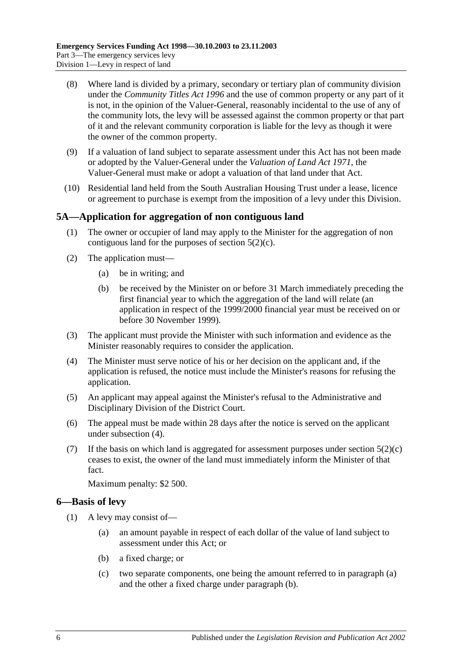- (8) Where land is divided by a primary, secondary or tertiary plan of community division under the *[Community Titles Act](http://www.legislation.sa.gov.au/index.aspx?action=legref&type=act&legtitle=Community%20Titles%20Act%201996) 1996* and the use of common property or any part of it is not, in the opinion of the Valuer-General, reasonably incidental to the use of any of the community lots, the levy will be assessed against the common property or that part of it and the relevant community corporation is liable for the levy as though it were the owner of the common property.
- (9) If a valuation of land subject to separate assessment under this Act has not been made or adopted by the Valuer-General under the *[Valuation of Land Act](http://www.legislation.sa.gov.au/index.aspx?action=legref&type=act&legtitle=Valuation%20of%20Land%20Act%201971) 1971*, the Valuer-General must make or adopt a valuation of that land under that Act.
- (10) Residential land held from the South Australian Housing Trust under a lease, licence or agreement to purchase is exempt from the imposition of a levy under this Division.

## <span id="page-5-0"></span>**5A—Application for aggregation of non contiguous land**

- (1) The owner or occupier of land may apply to the Minister for the aggregation of non contiguous land for the purposes of [section](#page-3-6) 5(2)(c).
- (2) The application must—
	- (a) be in writing; and
	- (b) be received by the Minister on or before 31 March immediately preceding the first financial year to which the aggregation of the land will relate (an application in respect of the 1999/2000 financial year must be received on or before 30 November 1999).
- (3) The applicant must provide the Minister with such information and evidence as the Minister reasonably requires to consider the application.
- <span id="page-5-2"></span>(4) The Minister must serve notice of his or her decision on the applicant and, if the application is refused, the notice must include the Minister's reasons for refusing the application.
- (5) An applicant may appeal against the Minister's refusal to the Administrative and Disciplinary Division of the District Court.
- (6) The appeal must be made within 28 days after the notice is served on the applicant under [subsection](#page-5-2) (4).
- (7) If the basis on which land is aggregated for assessment purposes under [section](#page-3-6)  $5(2)(c)$ ceases to exist, the owner of the land must immediately inform the Minister of that fact.

Maximum penalty: \$2 500.

## <span id="page-5-5"></span><span id="page-5-1"></span>**6—Basis of levy**

- <span id="page-5-4"></span><span id="page-5-3"></span>(1) A levy may consist of—
	- (a) an amount payable in respect of each dollar of the value of land subject to assessment under this Act; or
	- (b) a fixed charge; or
	- (c) two separate components, one being the amount referred to in [paragraph](#page-5-3) (a) and the other a fixed charge under [paragraph](#page-5-4) (b).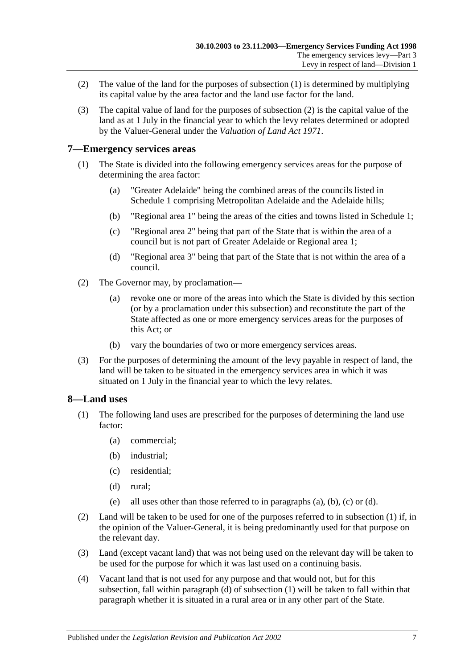- <span id="page-6-3"></span>(2) The value of the land for the purposes of [subsection](#page-5-5) (1) is determined by multiplying its capital value by the area factor and the land use factor for the land.
- (3) The capital value of land for the purposes of [subsection](#page-6-3) (2) is the capital value of the land as at 1 July in the financial year to which the levy relates determined or adopted by the Valuer-General under the *[Valuation of Land Act](http://www.legislation.sa.gov.au/index.aspx?action=legref&type=act&legtitle=Valuation%20of%20Land%20Act%201971) 1971*.

## <span id="page-6-0"></span>**7—Emergency services areas**

- (1) The State is divided into the following emergency services areas for the purpose of determining the area factor:
	- (a) "Greater Adelaide" being the combined areas of the councils listed in [Schedule 1](#page-19-2) comprising Metropolitan Adelaide and the Adelaide hills;
	- (b) "Regional area 1" being the areas of the cities and towns listed i[n Schedule 1;](#page-19-2)
	- (c) "Regional area 2" being that part of the State that is within the area of a council but is not part of Greater Adelaide or Regional area 1;
	- (d) "Regional area 3" being that part of the State that is not within the area of a council.
- (2) The Governor may, by proclamation—
	- (a) revoke one or more of the areas into which the State is divided by this section (or by a proclamation under this subsection) and reconstitute the part of the State affected as one or more emergency services areas for the purposes of this Act; or
	- (b) vary the boundaries of two or more emergency services areas.
- (3) For the purposes of determining the amount of the levy payable in respect of land, the land will be taken to be situated in the emergency services area in which it was situated on 1 July in the financial year to which the levy relates.

#### <span id="page-6-2"></span><span id="page-6-1"></span>**8—Land uses**

- <span id="page-6-6"></span><span id="page-6-5"></span><span id="page-6-4"></span>(1) The following land uses are prescribed for the purposes of determining the land use factor:
	- (a) commercial;
	- (b) industrial;
	- (c) residential;
	- (d) rural;
	- (e) all uses other than those referred to in [paragraphs](#page-6-4) (a), [\(b\),](#page-6-5) [\(c\)](#page-6-6) or [\(d\).](#page-6-7)
- <span id="page-6-7"></span>(2) Land will be taken to be used for one of the purposes referred to in [subsection](#page-6-2) (1) if, in the opinion of the Valuer-General, it is being predominantly used for that purpose on the relevant day.
- (3) Land (except vacant land) that was not being used on the relevant day will be taken to be used for the purpose for which it was last used on a continuing basis.
- (4) Vacant land that is not used for any purpose and that would not, but for this subsection, fall within [paragraph](#page-6-7) (d) of [subsection](#page-6-2) (1) will be taken to fall within that paragraph whether it is situated in a rural area or in any other part of the State.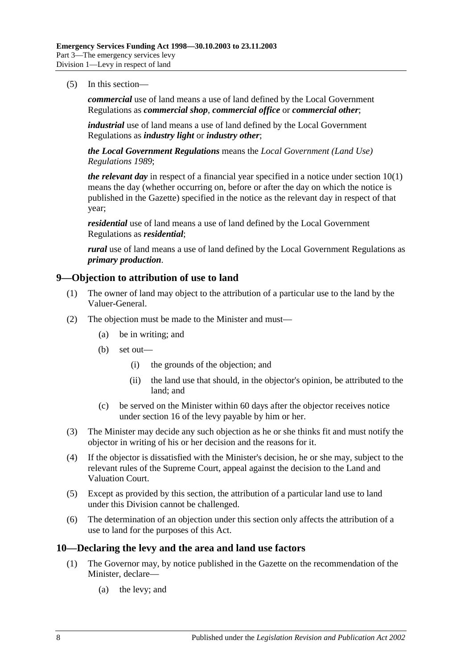(5) In this section—

*commercial* use of land means a use of land defined by the Local Government Regulations as *commercial shop*, *commercial office* or *commercial other*;

*industrial* use of land means a use of land defined by the Local Government Regulations as *industry light* or *industry other*;

*the Local Government Regulations* means the *[Local Government \(Land Use\)](http://www.legislation.sa.gov.au/index.aspx?action=legref&type=subordleg&legtitle=Local%20Government%20(Land%20Use)%20Regulations%201989)  [Regulations](http://www.legislation.sa.gov.au/index.aspx?action=legref&type=subordleg&legtitle=Local%20Government%20(Land%20Use)%20Regulations%201989) 1989*;

*the relevant day* in respect of a financial year specified in a notice under [section](#page-7-2) 10(1) means the day (whether occurring on, before or after the day on which the notice is published in the Gazette) specified in the notice as the relevant day in respect of that year;

*residential* use of land means a use of land defined by the Local Government Regulations as *residential*;

*rural* use of land means a use of land defined by the Local Government Regulations as *primary production*.

#### <span id="page-7-0"></span>**9—Objection to attribution of use to land**

- (1) The owner of land may object to the attribution of a particular use to the land by the Valuer-General.
- (2) The objection must be made to the Minister and must—
	- (a) be in writing; and
	- (b) set out—
		- (i) the grounds of the objection; and
		- (ii) the land use that should, in the objector's opinion, be attributed to the land; and
	- (c) be served on the Minister within 60 days after the objector receives notice under [section](#page-11-0) 16 of the levy payable by him or her.
- (3) The Minister may decide any such objection as he or she thinks fit and must notify the objector in writing of his or her decision and the reasons for it.
- (4) If the objector is dissatisfied with the Minister's decision, he or she may, subject to the relevant rules of the Supreme Court, appeal against the decision to the Land and Valuation Court.
- (5) Except as provided by this section, the attribution of a particular land use to land under this Division cannot be challenged.
- (6) The determination of an objection under this section only affects the attribution of a use to land for the purposes of this Act.

#### <span id="page-7-2"></span><span id="page-7-1"></span>**10—Declaring the levy and the area and land use factors**

- (1) The Governor may, by notice published in the Gazette on the recommendation of the Minister, declare—
	- (a) the levy; and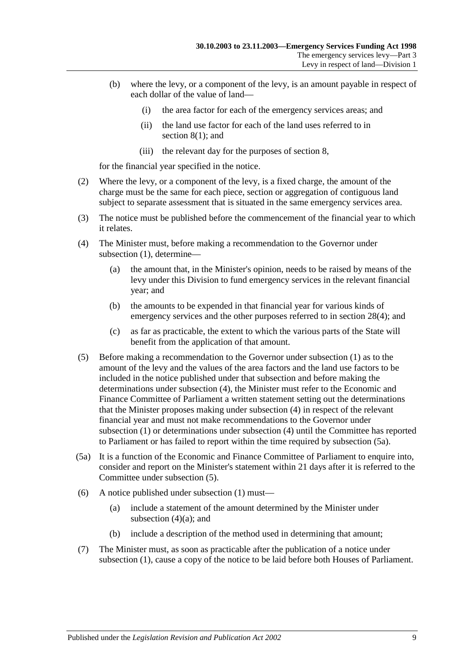- (b) where the levy, or a component of the levy, is an amount payable in respect of each dollar of the value of land—
	- (i) the area factor for each of the emergency services areas; and
	- (ii) the land use factor for each of the land uses referred to in [section](#page-6-2) 8(1); and
	- (iii) the relevant day for the purposes of [section](#page-6-1) 8,

for the financial year specified in the notice.

- (2) Where the levy, or a component of the levy, is a fixed charge, the amount of the charge must be the same for each piece, section or aggregation of contiguous land subject to separate assessment that is situated in the same emergency services area.
- (3) The notice must be published before the commencement of the financial year to which it relates.
- <span id="page-8-3"></span><span id="page-8-0"></span>(4) The Minister must, before making a recommendation to the Governor under [subsection](#page-7-2) (1), determine—
	- (a) the amount that, in the Minister's opinion, needs to be raised by means of the levy under this Division to fund emergency services in the relevant financial year; and
	- (b) the amounts to be expended in that financial year for various kinds of emergency services and the other purposes referred to in [section](#page-17-4) 28(4); and
	- (c) as far as practicable, the extent to which the various parts of the State will benefit from the application of that amount.
- <span id="page-8-2"></span>(5) Before making a recommendation to the Governor under [subsection](#page-7-2) (1) as to the amount of the levy and the values of the area factors and the land use factors to be included in the notice published under that subsection and before making the determinations under [subsection](#page-8-0) (4), the Minister must refer to the Economic and Finance Committee of Parliament a written statement setting out the determinations that the Minister proposes making under [subsection](#page-8-0) (4) in respect of the relevant financial year and must not make recommendations to the Governor under [subsection](#page-7-2) (1) or determinations under [subsection](#page-8-0) (4) until the Committee has reported to Parliament or has failed to report within the time required by [subsection](#page-8-1) (5a).
- <span id="page-8-1"></span>(5a) It is a function of the Economic and Finance Committee of Parliament to enquire into, consider and report on the Minister's statement within 21 days after it is referred to the Committee under [subsection](#page-8-2) (5).
- (6) A notice published under [subsection](#page-7-2) (1) must—
	- (a) include a statement of the amount determined by the Minister under [subsection](#page-8-3)  $(4)(a)$ ; and
	- (b) include a description of the method used in determining that amount;
- (7) The Minister must, as soon as practicable after the publication of a notice under [subsection](#page-7-2) (1), cause a copy of the notice to be laid before both Houses of Parliament.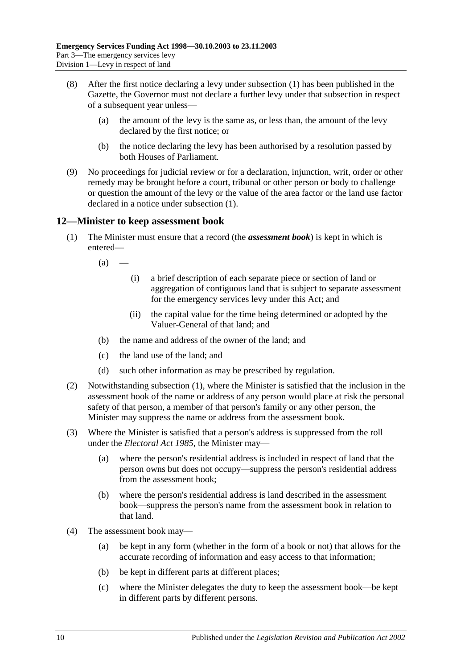- (8) After the first notice declaring a levy under [subsection](#page-7-2) (1) has been published in the Gazette, the Governor must not declare a further levy under that subsection in respect of a subsequent year unless—
	- (a) the amount of the levy is the same as, or less than, the amount of the levy declared by the first notice; or
	- (b) the notice declaring the levy has been authorised by a resolution passed by both Houses of Parliament.
- (9) No proceedings for judicial review or for a declaration, injunction, writ, order or other remedy may be brought before a court, tribunal or other person or body to challenge or question the amount of the levy or the value of the area factor or the land use factor declared in a notice under [subsection](#page-7-2) (1).

## <span id="page-9-1"></span><span id="page-9-0"></span>**12—Minister to keep assessment book**

- (1) The Minister must ensure that a record (the *assessment book*) is kept in which is entered—
	- $(a)$  —
- (i) a brief description of each separate piece or section of land or aggregation of contiguous land that is subject to separate assessment for the emergency services levy under this Act; and
- (ii) the capital value for the time being determined or adopted by the Valuer-General of that land; and
- (b) the name and address of the owner of the land; and
- (c) the land use of the land; and
- (d) such other information as may be prescribed by regulation.
- (2) Notwithstanding [subsection](#page-9-1) (1), where the Minister is satisfied that the inclusion in the assessment book of the name or address of any person would place at risk the personal safety of that person, a member of that person's family or any other person, the Minister may suppress the name or address from the assessment book.
- (3) Where the Minister is satisfied that a person's address is suppressed from the roll under the *[Electoral Act](http://www.legislation.sa.gov.au/index.aspx?action=legref&type=act&legtitle=Electoral%20Act%201985) 1985*, the Minister may—
	- (a) where the person's residential address is included in respect of land that the person owns but does not occupy—suppress the person's residential address from the assessment book;
	- (b) where the person's residential address is land described in the assessment book—suppress the person's name from the assessment book in relation to that land.
- (4) The assessment book may—
	- (a) be kept in any form (whether in the form of a book or not) that allows for the accurate recording of information and easy access to that information;
	- (b) be kept in different parts at different places;
	- (c) where the Minister delegates the duty to keep the assessment book—be kept in different parts by different persons.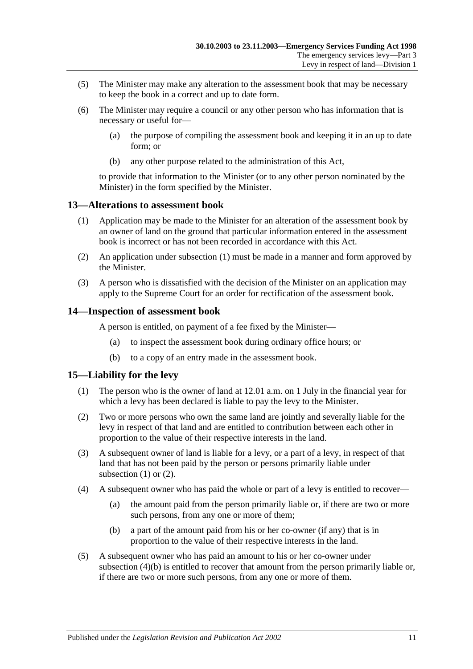- (5) The Minister may make any alteration to the assessment book that may be necessary to keep the book in a correct and up to date form.
- (6) The Minister may require a council or any other person who has information that is necessary or useful for—
	- (a) the purpose of compiling the assessment book and keeping it in an up to date form; or
	- (b) any other purpose related to the administration of this Act,

to provide that information to the Minister (or to any other person nominated by the Minister) in the form specified by the Minister.

#### <span id="page-10-3"></span><span id="page-10-0"></span>**13—Alterations to assessment book**

- (1) Application may be made to the Minister for an alteration of the assessment book by an owner of land on the ground that particular information entered in the assessment book is incorrect or has not been recorded in accordance with this Act.
- (2) An application under [subsection](#page-10-3) (1) must be made in a manner and form approved by the Minister.
- (3) A person who is dissatisfied with the decision of the Minister on an application may apply to the Supreme Court for an order for rectification of the assessment book.

#### <span id="page-10-1"></span>**14—Inspection of assessment book**

A person is entitled, on payment of a fee fixed by the Minister—

- (a) to inspect the assessment book during ordinary office hours; or
- (b) to a copy of an entry made in the assessment book.

#### <span id="page-10-4"></span><span id="page-10-2"></span>**15—Liability for the levy**

- (1) The person who is the owner of land at 12.01 a.m. on 1 July in the financial year for which a levy has been declared is liable to pay the levy to the Minister.
- <span id="page-10-5"></span>(2) Two or more persons who own the same land are jointly and severally liable for the levy in respect of that land and are entitled to contribution between each other in proportion to the value of their respective interests in the land.
- (3) A subsequent owner of land is liable for a levy, or a part of a levy, in respect of that land that has not been paid by the person or persons primarily liable under [subsection](#page-10-4)  $(1)$  or  $(2)$ .
- (4) A subsequent owner who has paid the whole or part of a levy is entitled to recover—
	- (a) the amount paid from the person primarily liable or, if there are two or more such persons, from any one or more of them;
	- (b) a part of the amount paid from his or her co-owner (if any) that is in proportion to the value of their respective interests in the land.
- <span id="page-10-6"></span>(5) A subsequent owner who has paid an amount to his or her co-owner under [subsection](#page-10-6) (4)(b) is entitled to recover that amount from the person primarily liable or, if there are two or more such persons, from any one or more of them.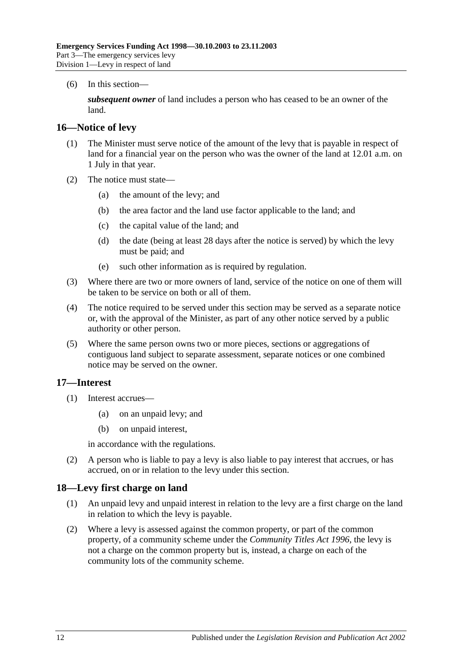(6) In this section—

*subsequent owner* of land includes a person who has ceased to be an owner of the land.

#### <span id="page-11-0"></span>**16—Notice of levy**

- (1) The Minister must serve notice of the amount of the levy that is payable in respect of land for a financial year on the person who was the owner of the land at 12.01 a.m. on 1 July in that year.
- (2) The notice must state—
	- (a) the amount of the levy; and
	- (b) the area factor and the land use factor applicable to the land; and
	- (c) the capital value of the land; and
	- (d) the date (being at least 28 days after the notice is served) by which the levy must be paid; and
	- (e) such other information as is required by regulation.
- (3) Where there are two or more owners of land, service of the notice on one of them will be taken to be service on both or all of them.
- (4) The notice required to be served under this section may be served as a separate notice or, with the approval of the Minister, as part of any other notice served by a public authority or other person.
- (5) Where the same person owns two or more pieces, sections or aggregations of contiguous land subject to separate assessment, separate notices or one combined notice may be served on the owner.

## <span id="page-11-1"></span>**17—Interest**

- (1) Interest accrues—
	- (a) on an unpaid levy; and
	- (b) on unpaid interest,

in accordance with the regulations.

(2) A person who is liable to pay a levy is also liable to pay interest that accrues, or has accrued, on or in relation to the levy under this section.

#### <span id="page-11-2"></span>**18—Levy first charge on land**

- (1) An unpaid levy and unpaid interest in relation to the levy are a first charge on the land in relation to which the levy is payable.
- (2) Where a levy is assessed against the common property, or part of the common property, of a community scheme under the *[Community Titles Act](http://www.legislation.sa.gov.au/index.aspx?action=legref&type=act&legtitle=Community%20Titles%20Act%201996) 1996*, the levy is not a charge on the common property but is, instead, a charge on each of the community lots of the community scheme.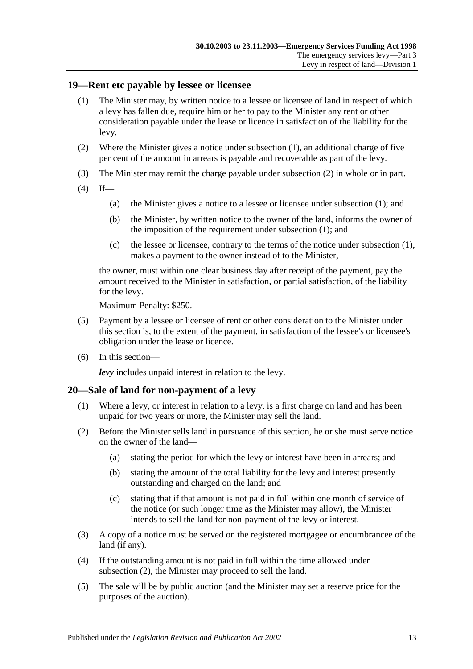#### <span id="page-12-2"></span><span id="page-12-0"></span>**19—Rent etc payable by lessee or licensee**

- (1) The Minister may, by written notice to a lessee or licensee of land in respect of which a levy has fallen due, require him or her to pay to the Minister any rent or other consideration payable under the lease or licence in satisfaction of the liability for the levy.
- <span id="page-12-3"></span>(2) Where the Minister gives a notice under [subsection](#page-12-2) (1), an additional charge of five per cent of the amount in arrears is payable and recoverable as part of the levy.
- (3) The Minister may remit the charge payable under [subsection](#page-12-3) (2) in whole or in part.
- $(4)$  If—
	- (a) the Minister gives a notice to a lessee or licensee under [subsection](#page-12-2) (1); and
	- (b) the Minister, by written notice to the owner of the land, informs the owner of the imposition of the requirement under [subsection](#page-12-2) (1); and
	- (c) the lessee or licensee, contrary to the terms of the notice under [subsection](#page-12-2) (1), makes a payment to the owner instead of to the Minister,

the owner, must within one clear business day after receipt of the payment, pay the amount received to the Minister in satisfaction, or partial satisfaction, of the liability for the levy.

Maximum Penalty: \$250.

- (5) Payment by a lessee or licensee of rent or other consideration to the Minister under this section is, to the extent of the payment, in satisfaction of the lessee's or licensee's obligation under the lease or licence.
- (6) In this section—

*levy* includes unpaid interest in relation to the levy.

#### <span id="page-12-1"></span>**20—Sale of land for non-payment of a levy**

- (1) Where a levy, or interest in relation to a levy, is a first charge on land and has been unpaid for two years or more, the Minister may sell the land.
- <span id="page-12-4"></span>(2) Before the Minister sells land in pursuance of this section, he or she must serve notice on the owner of the land—
	- (a) stating the period for which the levy or interest have been in arrears; and
	- (b) stating the amount of the total liability for the levy and interest presently outstanding and charged on the land; and
	- (c) stating that if that amount is not paid in full within one month of service of the notice (or such longer time as the Minister may allow), the Minister intends to sell the land for non-payment of the levy or interest.
- (3) A copy of a notice must be served on the registered mortgagee or encumbrancee of the land (if any).
- (4) If the outstanding amount is not paid in full within the time allowed under [subsection](#page-12-4) (2), the Minister may proceed to sell the land.
- (5) The sale will be by public auction (and the Minister may set a reserve price for the purposes of the auction).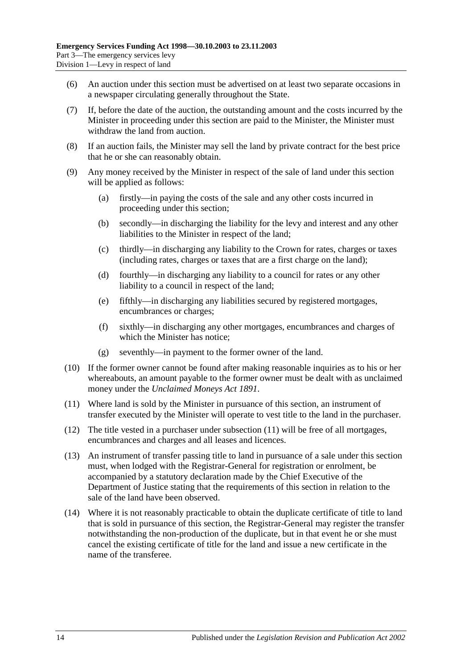- (6) An auction under this section must be advertised on at least two separate occasions in a newspaper circulating generally throughout the State.
- (7) If, before the date of the auction, the outstanding amount and the costs incurred by the Minister in proceeding under this section are paid to the Minister, the Minister must withdraw the land from auction.
- (8) If an auction fails, the Minister may sell the land by private contract for the best price that he or she can reasonably obtain.
- (9) Any money received by the Minister in respect of the sale of land under this section will be applied as follows:
	- (a) firstly—in paying the costs of the sale and any other costs incurred in proceeding under this section;
	- (b) secondly—in discharging the liability for the levy and interest and any other liabilities to the Minister in respect of the land;
	- (c) thirdly—in discharging any liability to the Crown for rates, charges or taxes (including rates, charges or taxes that are a first charge on the land);
	- (d) fourthly—in discharging any liability to a council for rates or any other liability to a council in respect of the land;
	- (e) fifthly—in discharging any liabilities secured by registered mortgages, encumbrances or charges;
	- (f) sixthly—in discharging any other mortgages, encumbrances and charges of which the Minister has notice;
	- (g) seventhly—in payment to the former owner of the land.
- (10) If the former owner cannot be found after making reasonable inquiries as to his or her whereabouts, an amount payable to the former owner must be dealt with as unclaimed money under the *[Unclaimed Moneys Act](http://www.legislation.sa.gov.au/index.aspx?action=legref&type=act&legtitle=Unclaimed%20Moneys%20Act%201891) 1891*.
- <span id="page-13-0"></span>(11) Where land is sold by the Minister in pursuance of this section, an instrument of transfer executed by the Minister will operate to vest title to the land in the purchaser.
- (12) The title vested in a purchaser under [subsection](#page-13-0) (11) will be free of all mortgages, encumbrances and charges and all leases and licences.
- (13) An instrument of transfer passing title to land in pursuance of a sale under this section must, when lodged with the Registrar-General for registration or enrolment, be accompanied by a statutory declaration made by the Chief Executive of the Department of Justice stating that the requirements of this section in relation to the sale of the land have been observed.
- (14) Where it is not reasonably practicable to obtain the duplicate certificate of title to land that is sold in pursuance of this section, the Registrar-General may register the transfer notwithstanding the non-production of the duplicate, but in that event he or she must cancel the existing certificate of title for the land and issue a new certificate in the name of the transferee.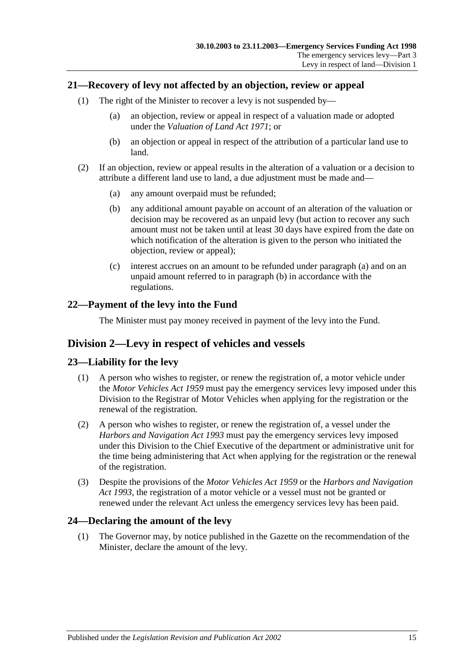## <span id="page-14-0"></span>**21—Recovery of levy not affected by an objection, review or appeal**

- (1) The right of the Minister to recover a levy is not suspended by—
	- (a) an objection, review or appeal in respect of a valuation made or adopted under the *[Valuation of Land Act](http://www.legislation.sa.gov.au/index.aspx?action=legref&type=act&legtitle=Valuation%20of%20Land%20Act%201971) 1971*; or
	- (b) an objection or appeal in respect of the attribution of a particular land use to land.
- <span id="page-14-6"></span><span id="page-14-5"></span>(2) If an objection, review or appeal results in the alteration of a valuation or a decision to attribute a different land use to land, a due adjustment must be made and—
	- (a) any amount overpaid must be refunded;
	- (b) any additional amount payable on account of an alteration of the valuation or decision may be recovered as an unpaid levy (but action to recover any such amount must not be taken until at least 30 days have expired from the date on which notification of the alteration is given to the person who initiated the objection, review or appeal);
	- (c) interest accrues on an amount to be refunded under [paragraph](#page-14-5) (a) and on an unpaid amount referred to in [paragraph](#page-14-6) (b) in accordance with the regulations.

## <span id="page-14-1"></span>**22—Payment of the levy into the Fund**

The Minister must pay money received in payment of the levy into the Fund.

## <span id="page-14-2"></span>**Division 2—Levy in respect of vehicles and vessels**

## <span id="page-14-3"></span>**23—Liability for the levy**

- (1) A person who wishes to register, or renew the registration of, a motor vehicle under the *[Motor Vehicles Act](http://www.legislation.sa.gov.au/index.aspx?action=legref&type=act&legtitle=Motor%20Vehicles%20Act%201959) 1959* must pay the emergency services levy imposed under this Division to the Registrar of Motor Vehicles when applying for the registration or the renewal of the registration.
- (2) A person who wishes to register, or renew the registration of, a vessel under the *[Harbors and Navigation](http://www.legislation.sa.gov.au/index.aspx?action=legref&type=act&legtitle=Harbors%20and%20Navigation%20Act%201993) Act 1993* must pay the emergency services levy imposed under this Division to the Chief Executive of the department or administrative unit for the time being administering that Act when applying for the registration or the renewal of the registration.
- (3) Despite the provisions of the *[Motor Vehicles Act](http://www.legislation.sa.gov.au/index.aspx?action=legref&type=act&legtitle=Motor%20Vehicles%20Act%201959) 1959* or the *[Harbors and Navigation](http://www.legislation.sa.gov.au/index.aspx?action=legref&type=act&legtitle=Harbors%20and%20Navigation%20Act%201993)  Act [1993](http://www.legislation.sa.gov.au/index.aspx?action=legref&type=act&legtitle=Harbors%20and%20Navigation%20Act%201993)*, the registration of a motor vehicle or a vessel must not be granted or renewed under the relevant Act unless the emergency services levy has been paid.

## <span id="page-14-7"></span><span id="page-14-4"></span>**24—Declaring the amount of the levy**

(1) The Governor may, by notice published in the Gazette on the recommendation of the Minister, declare the amount of the levy.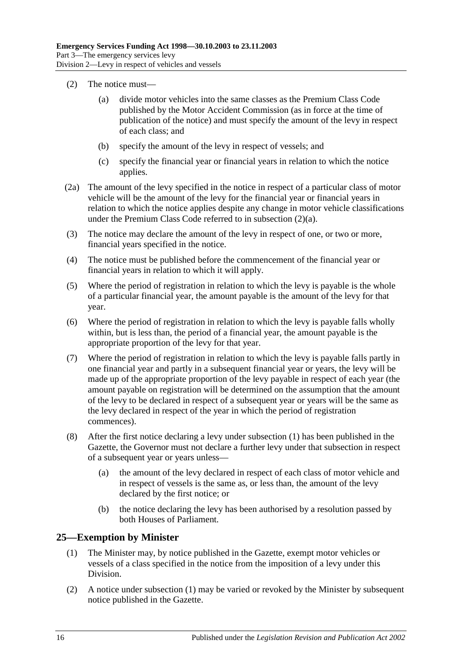- <span id="page-15-1"></span>(2) The notice must—
	- (a) divide motor vehicles into the same classes as the Premium Class Code published by the Motor Accident Commission (as in force at the time of publication of the notice) and must specify the amount of the levy in respect of each class; and
	- (b) specify the amount of the levy in respect of vessels; and
	- (c) specify the financial year or financial years in relation to which the notice applies.
- (2a) The amount of the levy specified in the notice in respect of a particular class of motor vehicle will be the amount of the levy for the financial year or financial years in relation to which the notice applies despite any change in motor vehicle classifications under the Premium Class Code referred to in [subsection](#page-15-1) (2)(a).
- (3) The notice may declare the amount of the levy in respect of one, or two or more, financial years specified in the notice.
- (4) The notice must be published before the commencement of the financial year or financial years in relation to which it will apply.
- (5) Where the period of registration in relation to which the levy is payable is the whole of a particular financial year, the amount payable is the amount of the levy for that year.
- (6) Where the period of registration in relation to which the levy is payable falls wholly within, but is less than, the period of a financial year, the amount payable is the appropriate proportion of the levy for that year.
- (7) Where the period of registration in relation to which the levy is payable falls partly in one financial year and partly in a subsequent financial year or years, the levy will be made up of the appropriate proportion of the levy payable in respect of each year (the amount payable on registration will be determined on the assumption that the amount of the levy to be declared in respect of a subsequent year or years will be the same as the levy declared in respect of the year in which the period of registration commences).
- (8) After the first notice declaring a levy under [subsection](#page-14-7) (1) has been published in the Gazette, the Governor must not declare a further levy under that subsection in respect of a subsequent year or years unless—
	- (a) the amount of the levy declared in respect of each class of motor vehicle and in respect of vessels is the same as, or less than, the amount of the levy declared by the first notice; or
	- (b) the notice declaring the levy has been authorised by a resolution passed by both Houses of Parliament.

## <span id="page-15-2"></span><span id="page-15-0"></span>**25—Exemption by Minister**

- (1) The Minister may, by notice published in the Gazette, exempt motor vehicles or vessels of a class specified in the notice from the imposition of a levy under this Division.
- (2) A notice under [subsection](#page-15-2) (1) may be varied or revoked by the Minister by subsequent notice published in the Gazette.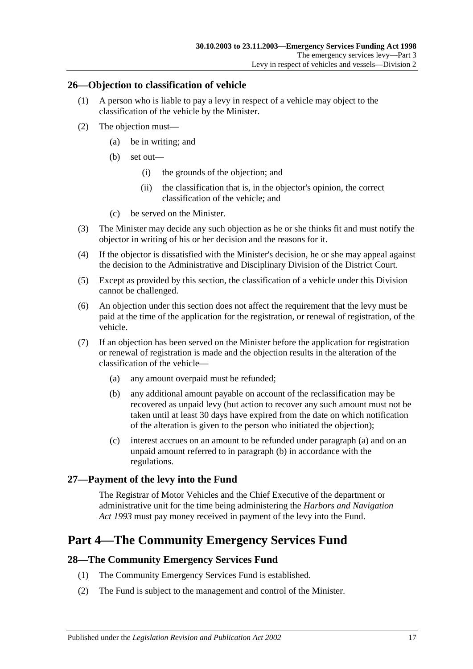## <span id="page-16-0"></span>**26—Objection to classification of vehicle**

- (1) A person who is liable to pay a levy in respect of a vehicle may object to the classification of the vehicle by the Minister.
- (2) The objection must—
	- (a) be in writing; and
	- (b) set out—
		- (i) the grounds of the objection; and
		- (ii) the classification that is, in the objector's opinion, the correct classification of the vehicle; and
	- (c) be served on the Minister.
- (3) The Minister may decide any such objection as he or she thinks fit and must notify the objector in writing of his or her decision and the reasons for it.
- (4) If the objector is dissatisfied with the Minister's decision, he or she may appeal against the decision to the Administrative and Disciplinary Division of the District Court.
- (5) Except as provided by this section, the classification of a vehicle under this Division cannot be challenged.
- (6) An objection under this section does not affect the requirement that the levy must be paid at the time of the application for the registration, or renewal of registration, of the vehicle.
- <span id="page-16-5"></span><span id="page-16-4"></span>(7) If an objection has been served on the Minister before the application for registration or renewal of registration is made and the objection results in the alteration of the classification of the vehicle—
	- (a) any amount overpaid must be refunded;
	- (b) any additional amount payable on account of the reclassification may be recovered as unpaid levy (but action to recover any such amount must not be taken until at least 30 days have expired from the date on which notification of the alteration is given to the person who initiated the objection);
	- (c) interest accrues on an amount to be refunded under [paragraph](#page-16-4) (a) and on an unpaid amount referred to in [paragraph](#page-16-5) (b) in accordance with the regulations.

## <span id="page-16-1"></span>**27—Payment of the levy into the Fund**

The Registrar of Motor Vehicles and the Chief Executive of the department or administrative unit for the time being administering the *[Harbors and Navigation](http://www.legislation.sa.gov.au/index.aspx?action=legref&type=act&legtitle=Harbors%20and%20Navigation%20Act%201993)  Act [1993](http://www.legislation.sa.gov.au/index.aspx?action=legref&type=act&legtitle=Harbors%20and%20Navigation%20Act%201993)* must pay money received in payment of the levy into the Fund.

# <span id="page-16-2"></span>**Part 4—The Community Emergency Services Fund**

## <span id="page-16-3"></span>**28—The Community Emergency Services Fund**

- (1) The Community Emergency Services Fund is established.
- (2) The Fund is subject to the management and control of the Minister.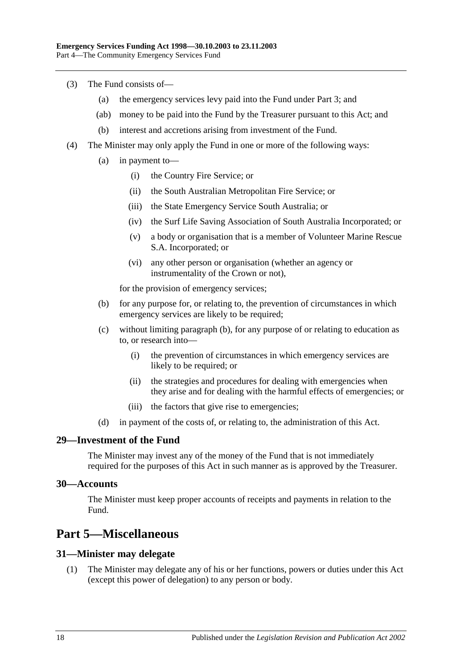- (3) The Fund consists of—
	- (a) the emergency services levy paid into the Fund under [Part 3;](#page-3-0) and
	- (ab) money to be paid into the Fund by the Treasurer pursuant to this Act; and
	- (b) interest and accretions arising from investment of the Fund.
- <span id="page-17-4"></span>(4) The Minister may only apply the Fund in one or more of the following ways:
	- (a) in payment to—
		- (i) the Country Fire Service; or
		- (ii) the South Australian Metropolitan Fire Service; or
		- (iii) the State Emergency Service South Australia; or
		- (iv) the Surf Life Saving Association of South Australia Incorporated; or
		- (v) a body or organisation that is a member of Volunteer Marine Rescue S.A. Incorporated; or
		- (vi) any other person or organisation (whether an agency or instrumentality of the Crown or not),

for the provision of emergency services;

- <span id="page-17-5"></span>(b) for any purpose for, or relating to, the prevention of circumstances in which emergency services are likely to be required;
- (c) without limiting [paragraph](#page-17-5) (b), for any purpose of or relating to education as to, or research into—
	- (i) the prevention of circumstances in which emergency services are likely to be required; or
	- (ii) the strategies and procedures for dealing with emergencies when they arise and for dealing with the harmful effects of emergencies; or
	- (iii) the factors that give rise to emergencies;
- (d) in payment of the costs of, or relating to, the administration of this Act.

#### <span id="page-17-0"></span>**29—Investment of the Fund**

The Minister may invest any of the money of the Fund that is not immediately required for the purposes of this Act in such manner as is approved by the Treasurer.

#### <span id="page-17-1"></span>**30—Accounts**

The Minister must keep proper accounts of receipts and payments in relation to the Fund.

# <span id="page-17-2"></span>**Part 5—Miscellaneous**

#### <span id="page-17-3"></span>**31—Minister may delegate**

(1) The Minister may delegate any of his or her functions, powers or duties under this Act (except this power of delegation) to any person or body.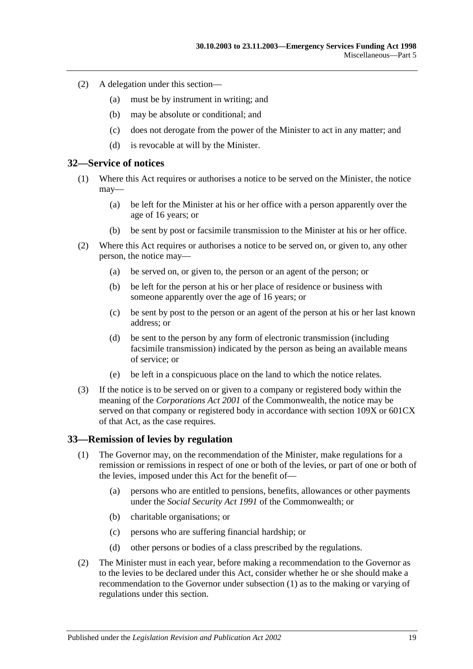- (2) A delegation under this section—
	- (a) must be by instrument in writing; and
	- (b) may be absolute or conditional; and
	- (c) does not derogate from the power of the Minister to act in any matter; and
	- (d) is revocable at will by the Minister.

#### <span id="page-18-0"></span>**32—Service of notices**

- (1) Where this Act requires or authorises a notice to be served on the Minister, the notice may—
	- (a) be left for the Minister at his or her office with a person apparently over the age of 16 years; or
	- (b) be sent by post or facsimile transmission to the Minister at his or her office.
- (2) Where this Act requires or authorises a notice to be served on, or given to, any other person, the notice may—
	- (a) be served on, or given to, the person or an agent of the person; or
	- (b) be left for the person at his or her place of residence or business with someone apparently over the age of 16 years; or
	- (c) be sent by post to the person or an agent of the person at his or her last known address; or
	- (d) be sent to the person by any form of electronic transmission (including facsimile transmission) indicated by the person as being an available means of service; or
	- (e) be left in a conspicuous place on the land to which the notice relates.
- (3) If the notice is to be served on or given to a company or registered body within the meaning of the *Corporations Act 2001* of the Commonwealth, the notice may be served on that company or registered body in accordance with section 109X or 601CX of that Act, as the case requires.

#### <span id="page-18-2"></span><span id="page-18-1"></span>**33—Remission of levies by regulation**

- (1) The Governor may, on the recommendation of the Minister, make regulations for a remission or remissions in respect of one or both of the levies, or part of one or both of the levies, imposed under this Act for the benefit of—
	- (a) persons who are entitled to pensions, benefits, allowances or other payments under the *Social Security Act 1991* of the Commonwealth; or
	- (b) charitable organisations; or
	- (c) persons who are suffering financial hardship; or
	- (d) other persons or bodies of a class prescribed by the regulations.
- (2) The Minister must in each year, before making a recommendation to the Governor as to the levies to be declared under this Act, consider whether he or she should make a recommendation to the Governor under [subsection](#page-18-2) (1) as to the making or varying of regulations under this section.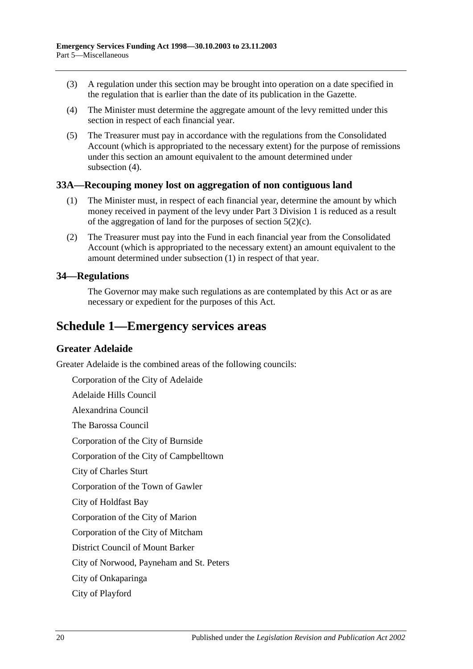- (3) A regulation under this section may be brought into operation on a date specified in the regulation that is earlier than the date of its publication in the Gazette.
- <span id="page-19-3"></span>(4) The Minister must determine the aggregate amount of the levy remitted under this section in respect of each financial year.
- (5) The Treasurer must pay in accordance with the regulations from the Consolidated Account (which is appropriated to the necessary extent) for the purpose of remissions under this section an amount equivalent to the amount determined under [subsection](#page-19-3) (4).

#### <span id="page-19-4"></span><span id="page-19-0"></span>**33A—Recouping money lost on aggregation of non contiguous land**

- (1) The Minister must, in respect of each financial year, determine the amount by which money received in payment of the levy under [Part 3 Division 1](#page-3-1) is reduced as a result of the aggregation of land for the purposes of [section](#page-3-6) 5(2)(c).
- (2) The Treasurer must pay into the Fund in each financial year from the Consolidated Account (which is appropriated to the necessary extent) an amount equivalent to the amount determined under [subsection](#page-19-4) (1) in respect of that year.

#### <span id="page-19-1"></span>**34—Regulations**

The Governor may make such regulations as are contemplated by this Act or as are necessary or expedient for the purposes of this Act.

# <span id="page-19-2"></span>**Schedule 1—Emergency services areas**

#### **Greater Adelaide**

Greater Adelaide is the combined areas of the following councils:

Corporation of the City of Adelaide

Adelaide Hills Council

Alexandrina Council

The Barossa Council

Corporation of the City of Burnside

Corporation of the City of Campbelltown

City of Charles Sturt

Corporation of the Town of Gawler

City of Holdfast Bay

Corporation of the City of Marion

Corporation of the City of Mitcham

District Council of Mount Barker

City of Norwood, Payneham and St. Peters

City of Onkaparinga

City of Playford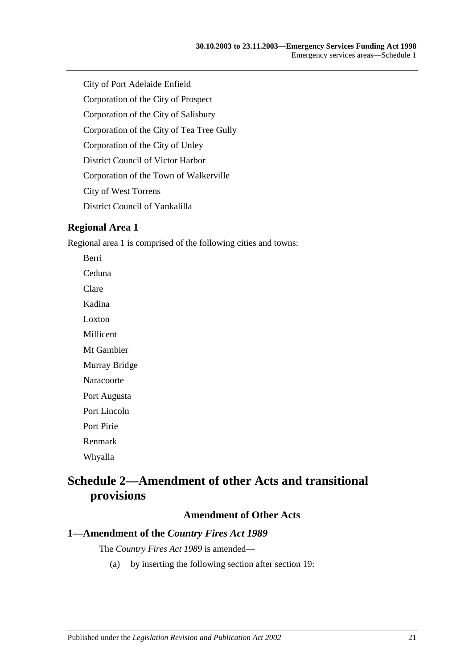City of Port Adelaide Enfield

Corporation of the City of Prospect

Corporation of the City of Salisbury

Corporation of the City of Tea Tree Gully

Corporation of the City of Unley

District Council of Victor Harbor

Corporation of the Town of Walkerville

City of West Torrens

District Council of Yankalilla

#### **Regional Area 1**

Regional area 1 is comprised of the following cities and towns:

Berri Ceduna Clare Kadina Loxton Millicent Mt Gambier

Murray Bridge

Naracoorte

Port Augusta

Port Lincoln

Port Pirie

Renmark

Whyalla

# <span id="page-20-0"></span>**Schedule 2—Amendment of other Acts and transitional provisions**

#### **Amendment of Other Acts**

## <span id="page-20-1"></span>**1—Amendment of the** *Country Fires Act 1989*

The *[Country Fires Act](http://www.legislation.sa.gov.au/index.aspx?action=legref&type=act&legtitle=Country%20Fires%20Act%201989) 1989* is amended—

(a) by inserting the following section after section 19: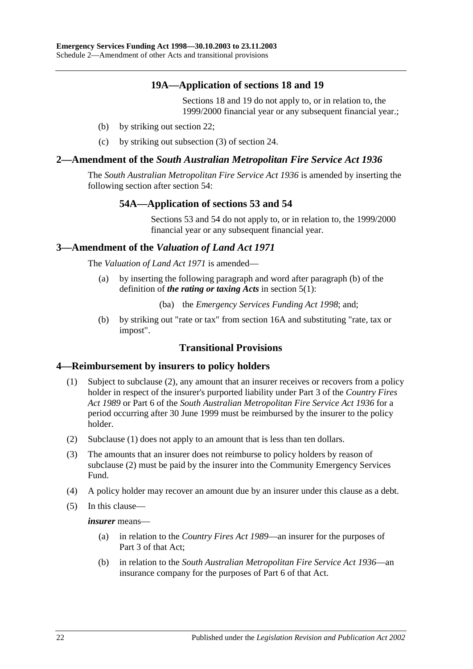## **19A—Application of sections 18 and 19**

Sections 18 and 19 do not apply to, or in relation to, the 1999/2000 financial year or any subsequent financial year.;

- (b) by striking out section 22;
- (c) by striking out subsection (3) of section 24.

#### <span id="page-21-0"></span>**2—Amendment of the** *South Australian Metropolitan Fire Service Act 1936*

The *[South Australian Metropolitan Fire Service Act](http://www.legislation.sa.gov.au/index.aspx?action=legref&type=act&legtitle=South%20Australian%20Metropolitan%20Fire%20Service%20Act%201936) 1936* is amended by inserting the following section after section 54:

## **54A—Application of sections 53 and 54**

Sections 53 and 54 do not apply to, or in relation to, the 1999/2000 financial year or any subsequent financial year.

#### <span id="page-21-1"></span>**3—Amendment of the** *Valuation of Land Act 1971*

The *[Valuation of Land Act](http://www.legislation.sa.gov.au/index.aspx?action=legref&type=act&legtitle=Valuation%20of%20Land%20Act%201971) 1971* is amended—

(a) by inserting the following paragraph and word after paragraph (b) of the definition of *the rating or taxing Acts* in section 5(1):

(ba) the *[Emergency Services Funding Act](http://www.legislation.sa.gov.au/index.aspx?action=legref&type=act&legtitle=Emergency%20Services%20Funding%20Act%201998) 1998*; and;

(b) by striking out "rate or tax" from section 16A and substituting "rate, tax or impost".

## **Transitional Provisions**

#### <span id="page-21-4"></span><span id="page-21-2"></span>**4—Reimbursement by insurers to policy holders**

- (1) Subject to [subclause](#page-21-3) (2), any amount that an insurer receives or recovers from a policy holder in respect of the insurer's purported liability under Part 3 of the *[Country Fires](http://www.legislation.sa.gov.au/index.aspx?action=legref&type=act&legtitle=Country%20Fires%20Act%201989)  Act [1989](http://www.legislation.sa.gov.au/index.aspx?action=legref&type=act&legtitle=Country%20Fires%20Act%201989)* or Part 6 of the *[South Australian Metropolitan Fire Service Act](http://www.legislation.sa.gov.au/index.aspx?action=legref&type=act&legtitle=South%20Australian%20Metropolitan%20Fire%20Service%20Act%201936) 1936* for a period occurring after 30 June 1999 must be reimbursed by the insurer to the policy holder.
- <span id="page-21-3"></span>(2) [Subclause](#page-21-4) (1) does not apply to an amount that is less than ten dollars.
- (3) The amounts that an insurer does not reimburse to policy holders by reason of [subclause](#page-21-3) (2) must be paid by the insurer into the Community Emergency Services Fund.
- (4) A policy holder may recover an amount due by an insurer under this clause as a debt.
- (5) In this clause—

*insurer* means—

- (a) in relation to the *[Country Fires Act](http://www.legislation.sa.gov.au/index.aspx?action=legref&type=act&legtitle=Country%20Fires%20Act%201989) 1989*—an insurer for the purposes of Part 3 of that Act;
- (b) in relation to the *[South Australian Metropolitan Fire Service Act](http://www.legislation.sa.gov.au/index.aspx?action=legref&type=act&legtitle=South%20Australian%20Metropolitan%20Fire%20Service%20Act%201936) 1936*—an insurance company for the purposes of Part 6 of that Act.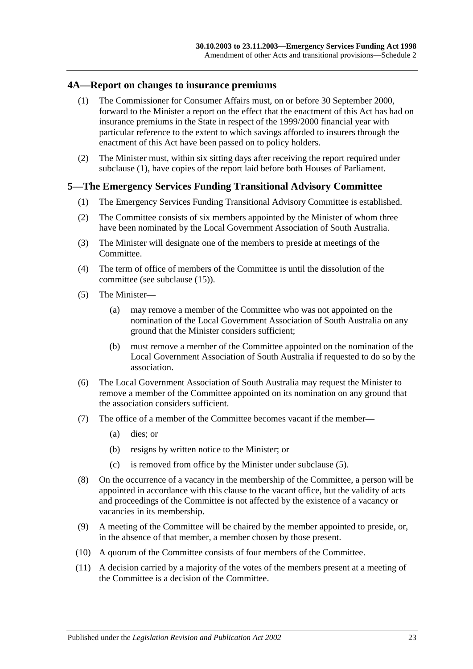#### <span id="page-22-2"></span><span id="page-22-0"></span>**4A—Report on changes to insurance premiums**

- (1) The Commissioner for Consumer Affairs must, on or before 30 September 2000, forward to the Minister a report on the effect that the enactment of this Act has had on insurance premiums in the State in respect of the 1999/2000 financial year with particular reference to the extent to which savings afforded to insurers through the enactment of this Act have been passed on to policy holders.
- (2) The Minister must, within six sitting days after receiving the report required under [subclause](#page-22-2) (1), have copies of the report laid before both Houses of Parliament.

#### <span id="page-22-1"></span>**5—The Emergency Services Funding Transitional Advisory Committee**

- (1) The Emergency Services Funding Transitional Advisory Committee is established.
- (2) The Committee consists of six members appointed by the Minister of whom three have been nominated by the Local Government Association of South Australia.
- (3) The Minister will designate one of the members to preside at meetings of the Committee.
- (4) The term of office of members of the Committee is until the dissolution of the committee (see [subclause](#page-23-1) (15)).
- <span id="page-22-3"></span>(5) The Minister—
	- (a) may remove a member of the Committee who was not appointed on the nomination of the Local Government Association of South Australia on any ground that the Minister considers sufficient;
	- (b) must remove a member of the Committee appointed on the nomination of the Local Government Association of South Australia if requested to do so by the association.
- (6) The Local Government Association of South Australia may request the Minister to remove a member of the Committee appointed on its nomination on any ground that the association considers sufficient.
- (7) The office of a member of the Committee becomes vacant if the member—
	- (a) dies; or
	- (b) resigns by written notice to the Minister; or
	- (c) is removed from office by the Minister under [subclause](#page-22-3) (5).
- (8) On the occurrence of a vacancy in the membership of the Committee, a person will be appointed in accordance with this clause to the vacant office, but the validity of acts and proceedings of the Committee is not affected by the existence of a vacancy or vacancies in its membership.
- (9) A meeting of the Committee will be chaired by the member appointed to preside, or, in the absence of that member, a member chosen by those present.
- (10) A quorum of the Committee consists of four members of the Committee.
- (11) A decision carried by a majority of the votes of the members present at a meeting of the Committee is a decision of the Committee.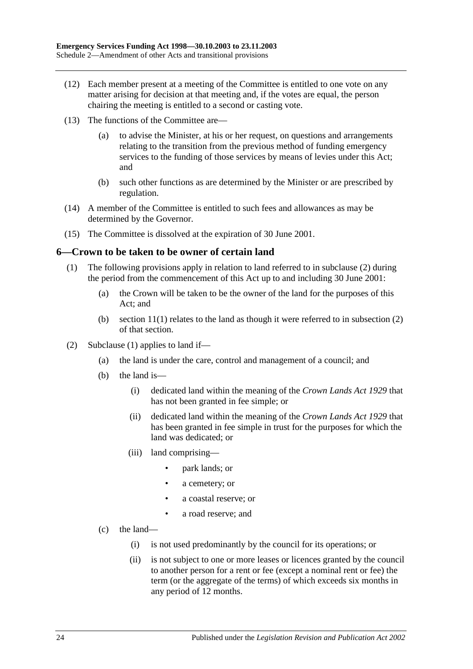- (12) Each member present at a meeting of the Committee is entitled to one vote on any matter arising for decision at that meeting and, if the votes are equal, the person chairing the meeting is entitled to a second or casting vote.
- (13) The functions of the Committee are—
	- (a) to advise the Minister, at his or her request, on questions and arrangements relating to the transition from the previous method of funding emergency services to the funding of those services by means of levies under this Act; and
	- (b) such other functions as are determined by the Minister or are prescribed by regulation.
- (14) A member of the Committee is entitled to such fees and allowances as may be determined by the Governor.
- <span id="page-23-1"></span>(15) The Committee is dissolved at the expiration of 30 June 2001.

#### <span id="page-23-3"></span><span id="page-23-0"></span>**6—Crown to be taken to be owner of certain land**

- (1) The following provisions apply in relation to land referred to in [subclause](#page-23-2) (2) during the period from the commencement of this Act up to and including 30 June 2001:
	- (a) the Crown will be taken to be the owner of the land for the purposes of this Act; and
	- (b) section  $11(1)$  relates to the land as though it were referred to in subsection  $(2)$ of that section.
- <span id="page-23-2"></span>(2) [Subclause](#page-23-3) (1) applies to land if—
	- (a) the land is under the care, control and management of a council; and
	- (b) the land is—
		- (i) dedicated land within the meaning of the *[Crown Lands Act](http://www.legislation.sa.gov.au/index.aspx?action=legref&type=act&legtitle=Crown%20Lands%20Act%201929) 1929* that has not been granted in fee simple; or
		- (ii) dedicated land within the meaning of the *[Crown Lands Act](http://www.legislation.sa.gov.au/index.aspx?action=legref&type=act&legtitle=Crown%20Lands%20Act%201929) 1929* that has been granted in fee simple in trust for the purposes for which the land was dedicated; or
		- (iii) land comprising—
			- park lands; or
			- a cemetery; or
			- a coastal reserve; or
			- a road reserve; and
	- (c) the land—
		- (i) is not used predominantly by the council for its operations; or
		- (ii) is not subject to one or more leases or licences granted by the council to another person for a rent or fee (except a nominal rent or fee) the term (or the aggregate of the terms) of which exceeds six months in any period of 12 months.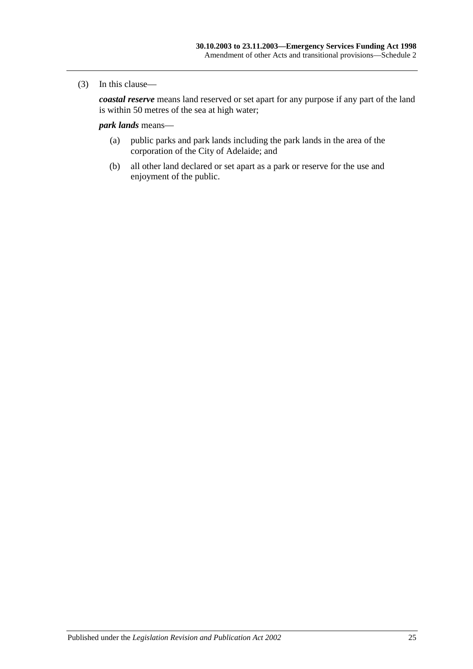#### (3) In this clause—

*coastal reserve* means land reserved or set apart for any purpose if any part of the land is within 50 metres of the sea at high water;

#### *park lands* means—

- (a) public parks and park lands including the park lands in the area of the corporation of the City of Adelaide; and
- (b) all other land declared or set apart as a park or reserve for the use and enjoyment of the public.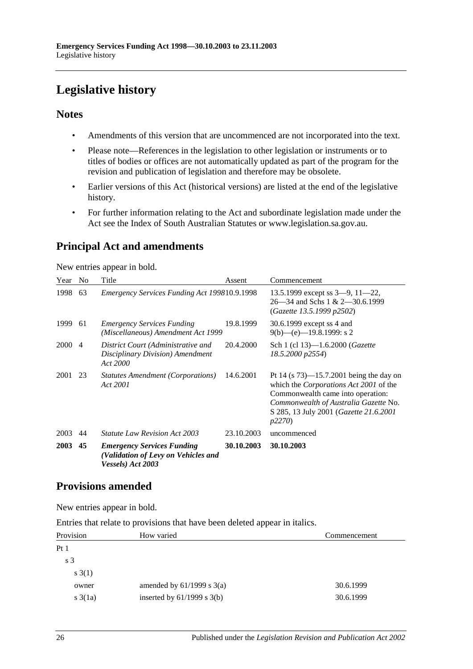# <span id="page-25-0"></span>**Legislative history**

## **Notes**

- Amendments of this version that are uncommenced are not incorporated into the text.
- Please note—References in the legislation to other legislation or instruments or to titles of bodies or offices are not automatically updated as part of the program for the revision and publication of legislation and therefore may be obsolete.
- Earlier versions of this Act (historical versions) are listed at the end of the legislative history.
- For further information relating to the Act and subordinate legislation made under the Act see the Index of South Australian Statutes or www.legislation.sa.gov.au.

# **Principal Act and amendments**

New entries appear in bold.

| Year        | N <sub>0</sub> | Title                                                                                         | Assent     | Commencement                                                                                                                                                                                                                                  |
|-------------|----------------|-----------------------------------------------------------------------------------------------|------------|-----------------------------------------------------------------------------------------------------------------------------------------------------------------------------------------------------------------------------------------------|
| 1998        | 63             | Emergency Services Funding Act 199810.9.1998                                                  |            | 13.5.1999 except ss $3-9$ , $11-22$ ,<br>$26 - 34$ and Schs 1 & 2 $-30.6.1999$<br>(Gazette 13.5.1999 p2502)                                                                                                                                   |
| 1999        | 61             | <b>Emergency Services Funding</b><br>(Miscellaneous) Amendment Act 1999                       | 19.8.1999  | 30.6.1999 except ss 4 and<br>$9(b)$ —(e)—19.8.1999: s 2                                                                                                                                                                                       |
| <b>2000</b> | $\overline{4}$ | District Court (Administrative and<br>Disciplinary Division) Amendment<br>Act 2000            | 20.4.2000  | Sch 1 (cl 13)-1.6.2000 ( <i>Gazette</i><br>18.5.2000 p2554)                                                                                                                                                                                   |
| 2001        | 23             | <i>Statutes Amendment (Corporations)</i><br>Act 2001                                          | 14.6.2001  | Pt 14 (s $73$ )—15.7.2001 being the day on<br>which the <i>Corporations Act 2001</i> of the<br>Commonwealth came into operation:<br>Commonwealth of Australia Gazette No.<br>S 285, 13 July 2001 ( <i>Gazette 21.6.2001</i><br><i>p</i> 2270) |
| 2003        | 44             | <i>Statute Law Revision Act 2003</i>                                                          | 23.10.2003 | uncommenced                                                                                                                                                                                                                                   |
| <b>2003</b> | 45             | <b>Emergency Services Funding</b><br>(Validation of Levy on Vehicles and<br>Vessels) Act 2003 | 30.10.2003 | 30.10.2003                                                                                                                                                                                                                                    |

## **Provisions amended**

New entries appear in bold.

Entries that relate to provisions that have been deleted appear in italics.

| Provision       | How varied                     | Commencement |  |
|-----------------|--------------------------------|--------------|--|
| Pt1             |                                |              |  |
| s <sub>3</sub>  |                                |              |  |
| s(1)            |                                |              |  |
| owner           | amended by $61/1999$ s $3(a)$  | 30.6.1999    |  |
| $s \cdot 3(1a)$ | inserted by $61/1999$ s $3(b)$ | 30.6.1999    |  |
|                 |                                |              |  |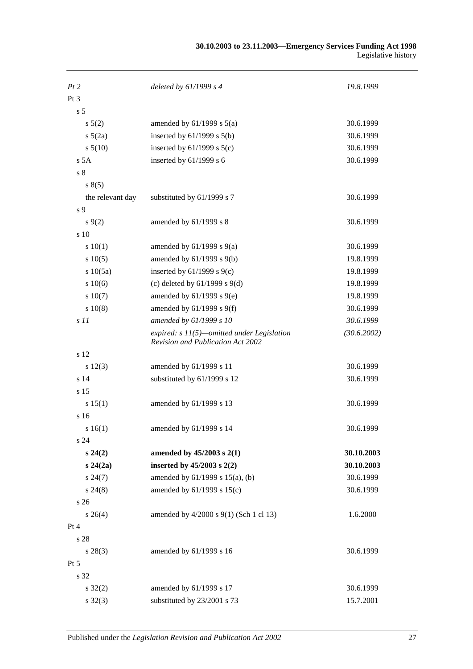| Pt2              | deleted by $61/1999 s 4$                                                                 | 19.8.1999   |
|------------------|------------------------------------------------------------------------------------------|-------------|
| Pt <sub>3</sub>  |                                                                                          |             |
| s <sub>5</sub>   |                                                                                          |             |
| $s\ 5(2)$        | amended by $61/1999$ s $5(a)$                                                            | 30.6.1999   |
| $s\ 5(2a)$       | inserted by $61/1999$ s $5(b)$                                                           | 30.6.1999   |
| $s\,5(10)$       | inserted by $61/1999$ s $5(c)$                                                           | 30.6.1999   |
| s 5A             | inserted by $61/1999$ s 6                                                                | 30.6.1999   |
| s <sub>8</sub>   |                                                                                          |             |
| s(5)             |                                                                                          |             |
| the relevant day | substituted by 61/1999 s 7                                                               | 30.6.1999   |
| s 9              |                                                                                          |             |
| $s\,9(2)$        | amended by 61/1999 s 8                                                                   | 30.6.1999   |
| s 10             |                                                                                          |             |
| 10(1)            | amended by $61/1999$ s $9(a)$                                                            | 30.6.1999   |
| 10(5)            | amended by $61/1999$ s $9(b)$                                                            | 19.8.1999   |
| s 10(5a)         | inserted by $61/1999$ s $9(c)$                                                           | 19.8.1999   |
| s 10(6)          | (c) deleted by $61/1999$ s $9(d)$                                                        | 19.8.1999   |
| s 10(7)          | amended by $61/1999$ s $9(e)$                                                            | 19.8.1999   |
| s 10(8)          | amended by $61/1999$ s $9(f)$                                                            | 30.6.1999   |
| s11              | amended by 61/1999 s 10                                                                  | 30.6.1999   |
|                  | expired: $s$ 11(5)—omitted under Legislation<br><b>Revision and Publication Act 2002</b> | (30.6.2002) |
| s 12             |                                                                                          |             |
| s 12(3)          | amended by 61/1999 s 11                                                                  | 30.6.1999   |
| s <sub>14</sub>  | substituted by 61/1999 s 12                                                              | 30.6.1999   |
| s 15             |                                                                                          |             |
| s 15(1)          | amended by 61/1999 s 13                                                                  | 30.6.1999   |
| s 16             |                                                                                          |             |
| s16(1)           | amended by 61/1999 s 14                                                                  | 30.6.1999   |
| s <sub>24</sub>  |                                                                                          |             |
| $s\,24(2)$       | amended by 45/2003 s 2(1)                                                                | 30.10.2003  |
| $s\,24(2a)$      | inserted by $45/2003$ s $2(2)$                                                           | 30.10.2003  |
| $s\,24(7)$       | amended by 61/1999 s 15(a), (b)                                                          | 30.6.1999   |
| $s\,24(8)$       | amended by 61/1999 s 15(c)                                                               | 30.6.1999   |
| s 26             |                                                                                          |             |
| $s \; 26(4)$     | amended by 4/2000 s 9(1) (Sch 1 cl 13)                                                   | 1.6.2000    |
| Pt 4             |                                                                                          |             |
| s 28             |                                                                                          |             |
| $s\,28(3)$       | amended by 61/1999 s 16                                                                  | 30.6.1999   |
| Pt 5             |                                                                                          |             |
| s 32             |                                                                                          |             |
| $s \, 32(2)$     | amended by 61/1999 s 17                                                                  | 30.6.1999   |
| $s \, 32(3)$     | substituted by 23/2001 s 73                                                              | 15.7.2001   |